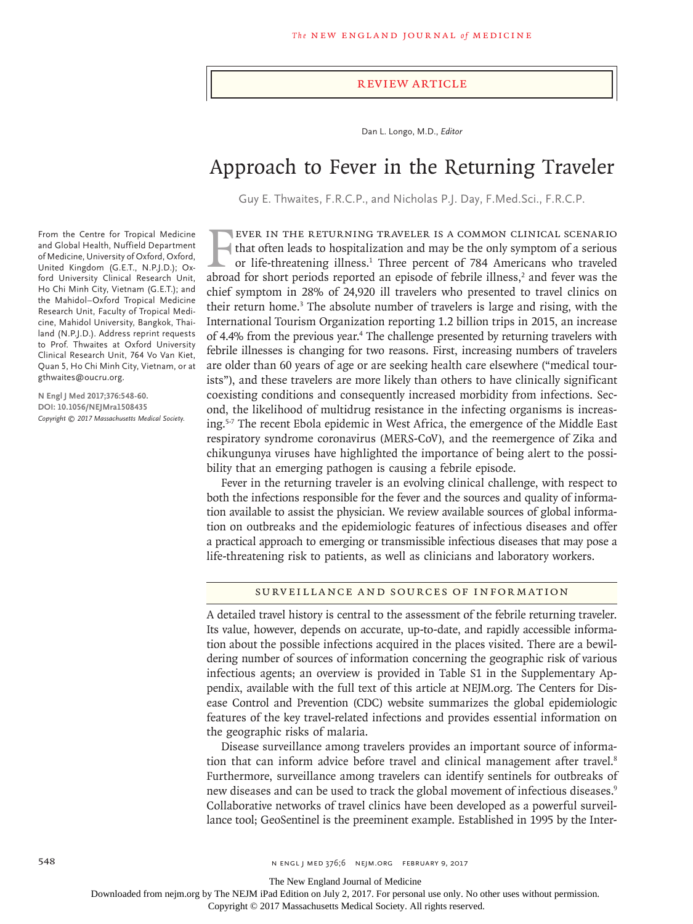#### Review Article

Dan L. Longo, M.D., *Editor*

# Approach to Fever in the Returning Traveler

Guy E. Thwaites, F.R.C.P., and Nicholas P.J. Day, F.Med.Sci., F.R.C.P.

EVER IN THE RETURNING TRAVELER IS A COMMON CLINICAL SCENARIO<br>that often leads to hospitalization and may be the only symptom of a serious<br>or life-threatening illness.<sup>1</sup> Three percent of 784 Americans who traveled<br>abroad f ever in the returning traveler is a common clinical scenario that often leads to hospitalization and may be the only symptom of a serious or life-threatening illness.<sup>1</sup> Three percent of 784 Americans who traveled chief symptom in 28% of 24,920 ill travelers who presented to travel clinics on their return home.<sup>3</sup> The absolute number of travelers is large and rising, with the International Tourism Organization reporting 1.2 billion trips in 2015, an increase of 4.4% from the previous year.<sup>4</sup> The challenge presented by returning travelers with febrile illnesses is changing for two reasons. First, increasing numbers of travelers are older than 60 years of age or are seeking health care elsewhere ("medical tourists"), and these travelers are more likely than others to have clinically significant coexisting conditions and consequently increased morbidity from infections. Second, the likelihood of multidrug resistance in the infecting organisms is increasing.5-7 The recent Ebola epidemic in West Africa, the emergence of the Middle East respiratory syndrome coronavirus (MERS-CoV), and the reemergence of Zika and chikungunya viruses have highlighted the importance of being alert to the possibility that an emerging pathogen is causing a febrile episode.

Fever in the returning traveler is an evolving clinical challenge, with respect to both the infections responsible for the fever and the sources and quality of information available to assist the physician. We review available sources of global information on outbreaks and the epidemiologic features of infectious diseases and offer a practical approach to emerging or transmissible infectious diseases that may pose a life-threatening risk to patients, as well as clinicians and laboratory workers.

## Surveillance and Sources of Information

A detailed travel history is central to the assessment of the febrile returning traveler. Its value, however, depends on accurate, up-to-date, and rapidly accessible information about the possible infections acquired in the places visited. There are a bewildering number of sources of information concerning the geographic risk of various infectious agents; an overview is provided in Table S1 in the Supplementary Appendix, available with the full text of this article at NEJM.org. The Centers for Disease Control and Prevention (CDC) website summarizes the global epidemiologic features of the key travel-related infections and provides essential information on the geographic risks of malaria.

Disease surveillance among travelers provides an important source of information that can inform advice before travel and clinical management after travel.<sup>8</sup> Furthermore, surveillance among travelers can identify sentinels for outbreaks of new diseases and can be used to track the global movement of infectious diseases.<sup>9</sup> Collaborative networks of travel clinics have been developed as a powerful surveillance tool; GeoSentinel is the preeminent example. Established in 1995 by the Inter-

From the Centre for Tropical Medicine and Global Health, Nuffield Department of Medicine, University of Oxford, Oxford, United Kingdom (G.E.T., N.P.J.D.); Oxford University Clinical Research Unit, Ho Chi Minh City, Vietnam (G.E.T.); and the Mahidol–Oxford Tropical Medicine Research Unit, Faculty of Tropical Medicine, Mahidol University, Bangkok, Thailand (N.P.J.D.). Address reprint requests to Prof. Thwaites at Oxford University Clinical Research Unit, 764 Vo Van Kiet, Quan 5, Ho Chi Minh City, Vietnam, or at gthwaites@oucru.org.

**N Engl J Med 2017;376:548-60. DOI: 10.1056/NEJMra1508435** *Copyright © 2017 Massachusetts Medical Society.*

The New England Journal of Medicine

Downloaded from nejm.org by The NEJM iPad Edition on July 2, 2017. For personal use only. No other uses without permission.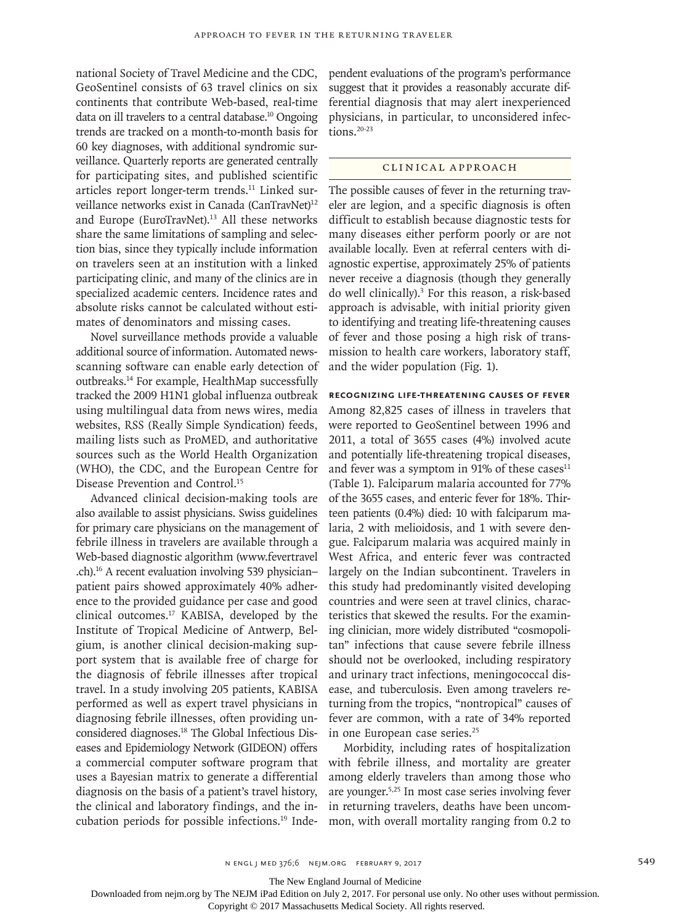national Society of Travel Medicine and the CDC, GeoSentinel consists of 63 travel clinics on six continents that contribute Web-based, real-time data on ill travelers to a central database.10 Ongoing trends are tracked on a month-to-month basis for 60 key diagnoses, with additional syndromic surveillance. Quarterly reports are generated centrally for participating sites, and published scientific articles report longer-term trends.<sup>11</sup> Linked surveillance networks exist in Canada (CanTravNet)<sup>12</sup> and Europe (EuroTravNet).<sup>13</sup> All these networks share the same limitations of sampling and selection bias, since they typically include information on travelers seen at an institution with a linked participating clinic, and many of the clinics are in specialized academic centers. Incidence rates and absolute risks cannot be calculated without estimates of denominators and missing cases.

Novel surveillance methods provide a valuable additional source of information. Automated newsscanning software can enable early detection of outbreaks.14 For example, HealthMap successfully tracked the 2009 H1N1 global influenza outbreak using multilingual data from news wires, media websites, RSS (Really Simple Syndication) feeds, mailing lists such as ProMED, and authoritative sources such as the World Health Organization (WHO), the CDC, and the European Centre for Disease Prevention and Control.15

Advanced clinical decision-making tools are also available to assist physicians. Swiss guidelines for primary care physicians on the management of febrile illness in travelers are available through a Web-based diagnostic algorithm (www.fevertravel .ch).16 A recent evaluation involving 539 physician– patient pairs showed approximately 40% adherence to the provided guidance per case and good clinical outcomes.17 KABISA, developed by the Institute of Tropical Medicine of Antwerp, Belgium, is another clinical decision-making support system that is available free of charge for the diagnosis of febrile illnesses after tropical travel. In a study involving 205 patients, KABISA performed as well as expert travel physicians in diagnosing febrile illnesses, often providing unconsidered diagnoses.<sup>18</sup> The Global Infectious Diseases and Epidemiology Network (GIDEON) offers a commercial computer software program that uses a Bayesian matrix to generate a differential diagnosis on the basis of a patient's travel history, the clinical and laboratory findings, and the incubation periods for possible infections.<sup>19</sup> Inde-

pendent evaluations of the program's performance suggest that it provides a reasonably accurate differential diagnosis that may alert inexperienced physicians, in particular, to unconsidered infections.20-23

### Clinical Approach

The possible causes of fever in the returning traveler are legion, and a specific diagnosis is often difficult to establish because diagnostic tests for many diseases either perform poorly or are not available locally. Even at referral centers with diagnostic expertise, approximately 25% of patients never receive a diagnosis (though they generally do well clinically).<sup>3</sup> For this reason, a risk-based approach is advisable, with initial priority given to identifying and treating life-threatening causes of fever and those posing a high risk of transmission to health care workers, laboratory staff, and the wider population (Fig. 1).

**Recognizing Life-Threatening Causes of Fever** Among 82,825 cases of illness in travelers that were reported to GeoSentinel between 1996 and 2011, a total of 3655 cases (4%) involved acute and potentially life-threatening tropical diseases, and fever was a symptom in 91% of these cases $11$ (Table 1). Falciparum malaria accounted for 77% of the 3655 cases, and enteric fever for 18%. Thirteen patients (0.4%) died: 10 with falciparum malaria, 2 with melioidosis, and 1 with severe dengue. Falciparum malaria was acquired mainly in West Africa, and enteric fever was contracted largely on the Indian subcontinent. Travelers in this study had predominantly visited developing countries and were seen at travel clinics, characteristics that skewed the results. For the examining clinician, more widely distributed "cosmopolitan" infections that cause severe febrile illness should not be overlooked, including respiratory and urinary tract infections, meningococcal disease, and tuberculosis. Even among travelers returning from the tropics, "nontropical" causes of fever are common, with a rate of 34% reported in one European case series.<sup>25</sup>

Morbidity, including rates of hospitalization with febrile illness, and mortality are greater among elderly travelers than among those who are younger.5,25 In most case series involving fever in returning travelers, deaths have been uncommon, with overall mortality ranging from 0.2 to

The New England Journal of Medicine

Downloaded from nejm.org by The NEJM iPad Edition on July 2, 2017. For personal use only. No other uses without permission.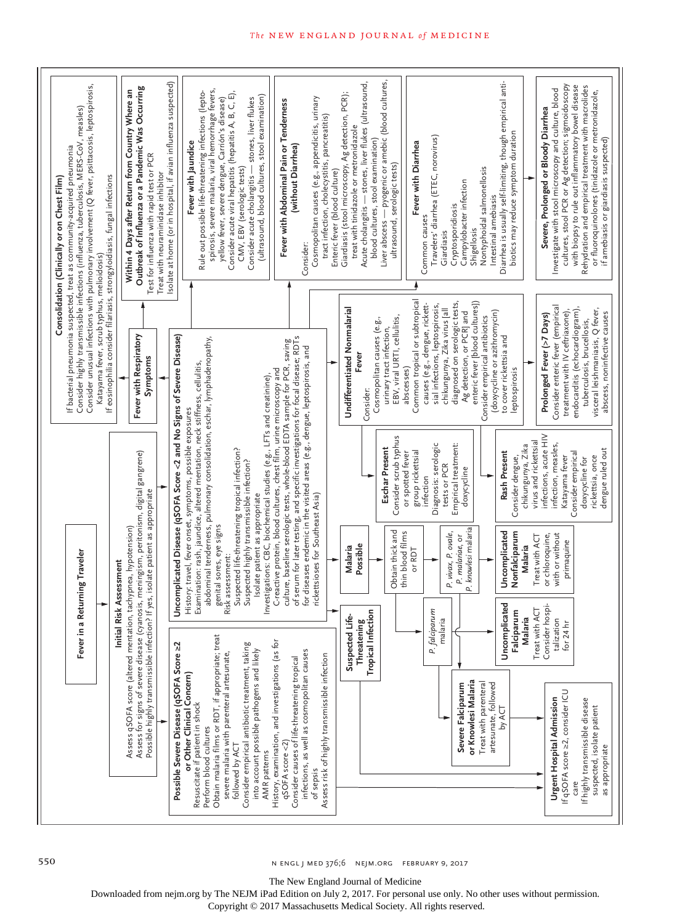| Consider unusual infections with pulmonary involvement (Q fever, psittacosis, leptospirosis,<br>Consider highly transmissible infections (influenza, tuberculosis, MERS-CoV, measles)<br>If bacterial pneumonia suspected, treat as community-acquired pneumonia<br>Consolidation (Clinically or on Chest Film)<br>Katayama fever, scrub typhus, melioidosis) | Outbreak of Influenza or a Pandemic Was Occurring<br>Within 4 Days after Return from Country Where an<br>Test for influenza with rapid test or PCR<br>Treat with neuraminidase inhibitor<br>If eosinophilia consider filariasis, strongyloidiasis, fungal infections<br>Fever with Respiratory<br>Symptoms | Isolate at home (or in hospital, if avian influenza suspected)        | spirosis, severe malaria, viral hemorrhage fevers,<br>Consider acute viral hepatitis (hepatitis A, B, C, E),<br>Rule out possible life-threatening infections (lepto-<br>(ultrasound, blood cultures, stool examination)<br>stones, liver flukes<br>yellow fever, severe dengue, Carrión's disease)<br>Fever with Jaundice<br>CMV, EBV (serologic tests)<br>Consider acute cholangitis-                                                                   | Cosmopolitan causes (e.g., appendicitis, urinary<br>Fever with Abdominal Pain or Tenderness<br>(without Diarrhea)<br>Consider:                                                                                                                                                                                                                            | tract infection, cholecystitis, pancreatitis)<br>Enteric fever (blood culture) | - pyogenic or amebic (blood cultures,<br>Acute cholangitis — stones, liver flukes (ultrasound,<br>Giardiasis (stool microscopy, Ag detection, PCR);<br>treat with tinidazole or metronidazole<br>blood cultures, stool examination)<br>ultrasound, serologic tests)<br>Liver abscess -<br>Undifferentiated Nonmalarial<br>EBV, viral URTI, cellulitis,<br>Cosmopolitan causes (e.g.,<br>urinary tract infection,<br>Fever | Travelers' diarrhea (ETEC, norovirus)<br>Fever with Diarrhea<br>Cryptosporidiosis<br>Common causes<br>Giardiasis<br>Common tropical or subtropical<br>causes (e.g., dengue, rickett-<br>sial infections, leptospirosis,<br>chikungunya, Zika virus [all<br>abscesses) | Diarrhea is usually self-limiting, though empirical anti-<br>biotics may reduce symptom duration<br>Nontyphoidal salmonellosis<br>Campylobacter infection<br>Intestinal amebiasis<br>Shigellosis<br>diagnosed on serologic tests,<br>enteric fever [blood cultures])<br>Ag detection, or PCR] and<br>(doxycycline or azithromycin)<br>Consider empirical antibiotics<br>to cover rickettsia and<br>leptospirosis | cultures, stool PCR or Ag detection; sigmoidoscopy<br>with biopsy to rule out inflammatory bowel disease<br>Rehydration and empirical treatment with macrolides<br>Investigate with stool microscopy and culture, blood<br>or fluoroquinolones (tinidazole or metronidazole,<br>Severe, Prolonged or Bloody Diarrhea<br>if amebiasis or giardiasis suspected)<br>Consider enteric fever (empirical<br>endocarditis (echocardiogram),<br>treatment with IV ceftriaxone),<br>visceral leishmaniasis, Q fever,<br>abscess, noninfective causes<br>Prolonged Fever (>7 Days)<br>tuberculosis, brucellosis, |
|---------------------------------------------------------------------------------------------------------------------------------------------------------------------------------------------------------------------------------------------------------------------------------------------------------------------------------------------------------------|------------------------------------------------------------------------------------------------------------------------------------------------------------------------------------------------------------------------------------------------------------------------------------------------------------|-----------------------------------------------------------------------|-----------------------------------------------------------------------------------------------------------------------------------------------------------------------------------------------------------------------------------------------------------------------------------------------------------------------------------------------------------------------------------------------------------------------------------------------------------|-----------------------------------------------------------------------------------------------------------------------------------------------------------------------------------------------------------------------------------------------------------------------------------------------------------------------------------------------------------|--------------------------------------------------------------------------------|---------------------------------------------------------------------------------------------------------------------------------------------------------------------------------------------------------------------------------------------------------------------------------------------------------------------------------------------------------------------------------------------------------------------------|-----------------------------------------------------------------------------------------------------------------------------------------------------------------------------------------------------------------------------------------------------------------------|------------------------------------------------------------------------------------------------------------------------------------------------------------------------------------------------------------------------------------------------------------------------------------------------------------------------------------------------------------------------------------------------------------------|--------------------------------------------------------------------------------------------------------------------------------------------------------------------------------------------------------------------------------------------------------------------------------------------------------------------------------------------------------------------------------------------------------------------------------------------------------------------------------------------------------------------------------------------------------------------------------------------------------|
|                                                                                                                                                                                                                                                                                                                                                               |                                                                                                                                                                                                                                                                                                            | Incomplicated Disease (qSOFA Score <2 and No Signs of Severe Disease) | abdominal tenderness, pulmonary consolidation, eschar, lymphadenopathy,<br>Examination: rash, jaundice, altered mentation, neck stiffness, cellulitis,<br>nvestigations: CBC, biochemical studies (e.g., LFTs and creatinine),<br>History: travel, fever onset, symptoms, possible exposures<br>Suspected life-threatening tropical infection?<br>Suspected highly transmissible infection?<br>Isolate patient as appropriate<br>genital sores, eye signs | of serum for later testing, and specific investigations for focal disease; RDTs<br>culture, baseline serologic tests, whole-blood EDTA sample for PCR, saving<br>for diseases endemic in the visited areas (e.g., dengue, leptospirosis, and<br>C-reactive protein, blood cultures, chest film, urine microscopy and<br>rickettsioses for Southeast Asia) |                                                                                | Consider:<br>Consider scrub typhus<br>Eschar Present<br>Obtain thick and<br>Possible<br>Malaria                                                                                                                                                                                                                                                                                                                           | Diagnosis: serologic<br>group rickettsial<br>or spotted fever<br>tests or PCR<br>intection<br>P. vivax, P. ovale,<br>thin blood films<br>or RDT                                                                                                                       | Empirical treatment:<br>Rash Present<br>Consider dengue,<br>doxycycline<br>P. knowlesi malaria<br>Nonfalciparum<br>Uncomplicated<br>P. malariae, or                                                                                                                                                                                                                                                              | infections, acute HIV<br>virus and rickettsial<br>infection, measles,<br>chikungunya, Zika<br>dengue ruled out<br>Consider empirical<br>Katayama fever<br>rickettsia, once<br>doxycycline for<br>or chloroquine,<br>with or without<br>Treat with ACT<br>primaquine<br>Malaria                                                                                                                                                                                                                                                                                                                         |
| Fever in a Returning Traveler                                                                                                                                                                                                                                                                                                                                 | Assess for signs of severe disease (cyanosis, meningism, peritonism, digital gangrene)<br>Possible highly transmissible infection? If yes, isolate patient as appropriate<br>Assess qSOFA score (altered mentation, tachypnea, hypotension)<br><b>Initial Risk Assessment</b>                              | Possible Severe Disease (qSOFA Score ≥2                               | Risk assessment:<br>Obtain malaria films or RDT, if appropriate; treat<br>Consider empirical antibiotic treatment, taking<br>into account possible pathogens and likely<br>severe malaria with parenteral artesunate,<br>or Other Clinical Concern)<br>Resuscitate if patient in shock<br>Perform blood cultures<br>followed by ACT<br>AMR patterns                                                                                                       | History, examination, and investigations (as for<br>infections, as well as cosmopolitan causes<br>Consider causes of life-threatening tropical<br>qSOFA score <2)                                                                                                                                                                                         | Assess risk of highly transmissible infection                                  | Suspected Life-<br>Tropical Infection<br>Threatening                                                                                                                                                                                                                                                                                                                                                                      | P. falciparum<br>malaria                                                                                                                                                                                                                                              | Uncomplicated<br>Falciparum<br>or Knowlesi Malaria<br>artesunate, followed<br>Treat with parenteral<br>Severe Falciparum<br>by ACT                                                                                                                                                                                                                                                                               | Consider hospi-<br>Treat with ACT<br>Malaria<br>talization<br>for $24$ hr<br>If qSOFA score ≥2, consider ICU<br><b>Urgent Hospital Admission</b><br>If highly transmissible disease<br>suspected, isolate patient<br>as appropriate                                                                                                                                                                                                                                                                                                                                                                    |

550 N ENGL J MED 376;6 NEJM.ORG FEBRUARY 9, 2017

The New England Journal of Medicine

Downloaded from nejm.org by The NEJM iPad Edition on July 2, 2017. For personal use only. No other uses without permission.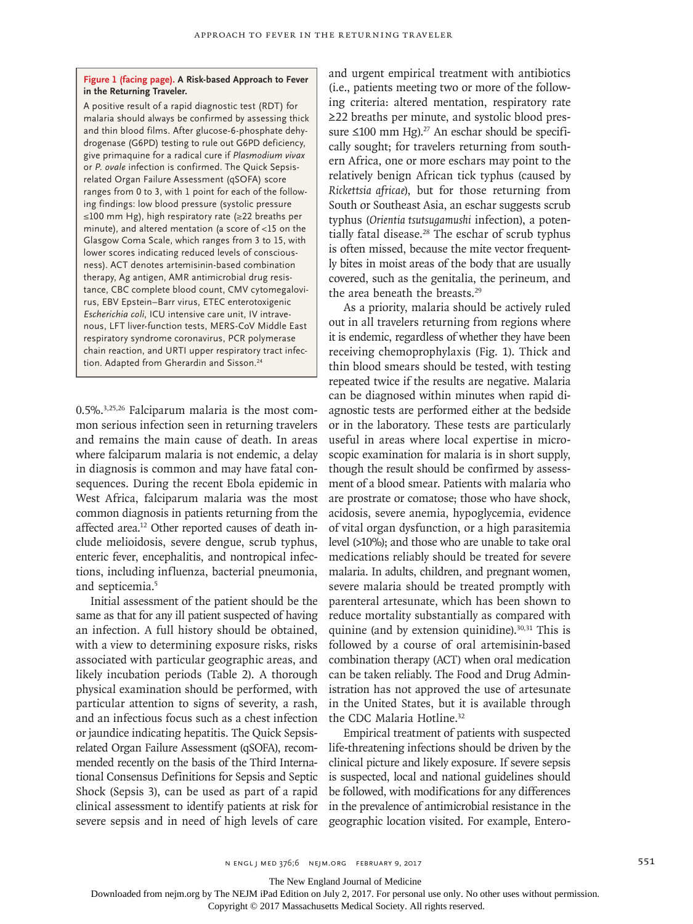## **Figure 1 (facing page). A Risk-based Approach to Fever in the Returning Traveler.**

A positive result of a rapid diagnostic test (RDT) for malaria should always be confirmed by assessing thick and thin blood films. After glucose-6-phosphate dehydrogenase (G6PD) testing to rule out G6PD deficiency, give primaquine for a radical cure if *Plasmodium vivax* or *P. ovale* infection is confirmed. The Quick Sepsisrelated Organ Failure Assessment (qSOFA) score ranges from 0 to 3, with 1 point for each of the following findings: low blood pressure (systolic pressure ≤100 mm Hg), high respiratory rate (≥22 breaths per minute), and altered mentation (a score of <15 on the Glasgow Coma Scale, which ranges from 3 to 15, with lower scores indicating reduced levels of consciousness). ACT denotes artemisinin-based combination therapy, Ag antigen, AMR antimicrobial drug resistance, CBC complete blood count, CMV cytomegalovirus, EBV Epstein–Barr virus, ETEC enterotoxigenic *Escherichia coli*, ICU intensive care unit, IV intravenous, LFT liver-function tests, MERS-CoV Middle East respiratory syndrome coronavirus, PCR polymerase chain reaction, and URTI upper respiratory tract infection. Adapted from Gherardin and Sisson.<sup>24</sup>

0.5%.3,25,26 Falciparum malaria is the most common serious infection seen in returning travelers and remains the main cause of death. In areas where falciparum malaria is not endemic, a delay in diagnosis is common and may have fatal consequences. During the recent Ebola epidemic in West Africa, falciparum malaria was the most common diagnosis in patients returning from the affected area.<sup>12</sup> Other reported causes of death include melioidosis, severe dengue, scrub typhus, enteric fever, encephalitis, and nontropical infections, including influenza, bacterial pneumonia, and septicemia.5

Initial assessment of the patient should be the same as that for any ill patient suspected of having an infection. A full history should be obtained, with a view to determining exposure risks, risks associated with particular geographic areas, and likely incubation periods (Table 2). A thorough physical examination should be performed, with particular attention to signs of severity, a rash, and an infectious focus such as a chest infection or jaundice indicating hepatitis. The Quick Sepsisrelated Organ Failure Assessment (qSOFA), recommended recently on the basis of the Third International Consensus Definitions for Sepsis and Septic Shock (Sepsis 3), can be used as part of a rapid clinical assessment to identify patients at risk for severe sepsis and in need of high levels of care and urgent empirical treatment with antibiotics (i.e., patients meeting two or more of the following criteria: altered mentation, respiratory rate ≥22 breaths per minute, and systolic blood pressure  $\leq 100$  mm Hg).<sup>27</sup> An eschar should be specifically sought; for travelers returning from southern Africa, one or more eschars may point to the relatively benign African tick typhus (caused by *Rickettsia africae*), but for those returning from South or Southeast Asia, an eschar suggests scrub typhus (*Orientia tsutsugamushi* infection), a potentially fatal disease.<sup>28</sup> The eschar of scrub typhus is often missed, because the mite vector frequently bites in moist areas of the body that are usually covered, such as the genitalia, the perineum, and the area beneath the breasts.<sup>29</sup>

As a priority, malaria should be actively ruled out in all travelers returning from regions where it is endemic, regardless of whether they have been receiving chemoprophylaxis (Fig. 1). Thick and thin blood smears should be tested, with testing repeated twice if the results are negative. Malaria can be diagnosed within minutes when rapid diagnostic tests are performed either at the bedside or in the laboratory. These tests are particularly useful in areas where local expertise in microscopic examination for malaria is in short supply, though the result should be confirmed by assessment of a blood smear. Patients with malaria who are prostrate or comatose; those who have shock, acidosis, severe anemia, hypoglycemia, evidence of vital organ dysfunction, or a high parasitemia level (>10%); and those who are unable to take oral medications reliably should be treated for severe malaria. In adults, children, and pregnant women, severe malaria should be treated promptly with parenteral artesunate, which has been shown to reduce mortality substantially as compared with quinine (and by extension quinidine). $30,31$  This is followed by a course of oral artemisinin-based combination therapy (ACT) when oral medication can be taken reliably. The Food and Drug Administration has not approved the use of artesunate in the United States, but it is available through the CDC Malaria Hotline.<sup>32</sup>

Empirical treatment of patients with suspected life-threatening infections should be driven by the clinical picture and likely exposure. If severe sepsis is suspected, local and national guidelines should be followed, with modifications for any differences in the prevalence of antimicrobial resistance in the geographic location visited. For example, Entero-

The New England Journal of Medicine

Downloaded from nejm.org by The NEJM iPad Edition on July 2, 2017. For personal use only. No other uses without permission.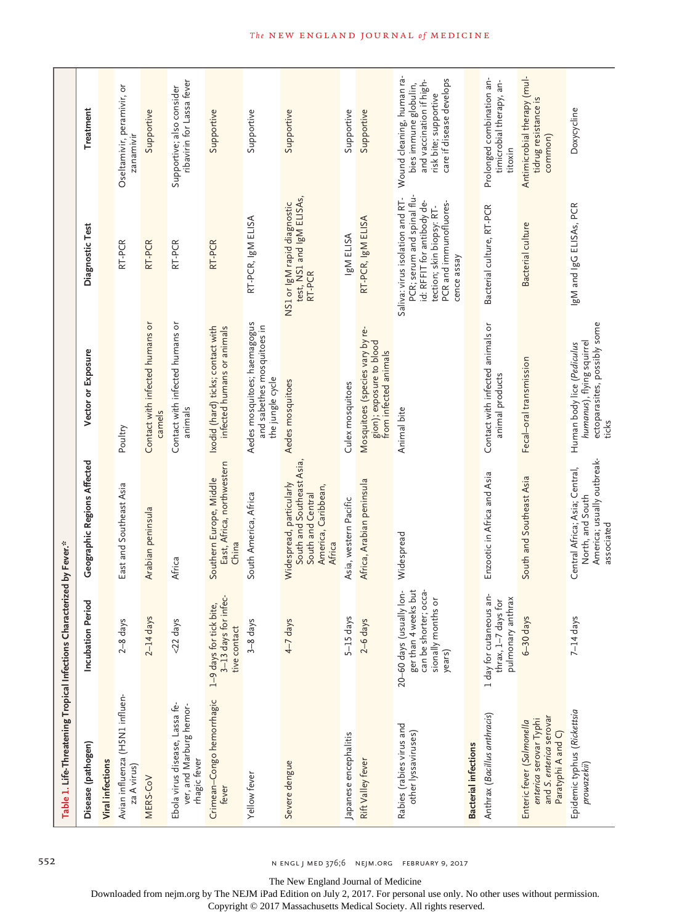| Table 1. Life-Threatening Tropical Infections Characterized by Fever.*                               |                                                                                                           |                                                                                                             |                                                                                                  |                                                                                                                                                                   |                                                                                                                                     |
|------------------------------------------------------------------------------------------------------|-----------------------------------------------------------------------------------------------------------|-------------------------------------------------------------------------------------------------------------|--------------------------------------------------------------------------------------------------|-------------------------------------------------------------------------------------------------------------------------------------------------------------------|-------------------------------------------------------------------------------------------------------------------------------------|
| Disease (pathogen)                                                                                   | <b>Incubation Period</b>                                                                                  | Geographic Regions Affected                                                                                 | Vector or Exposure                                                                               | Diagnostic Test                                                                                                                                                   | Treatment                                                                                                                           |
| Viral infections                                                                                     |                                                                                                           |                                                                                                             |                                                                                                  |                                                                                                                                                                   |                                                                                                                                     |
| Avian influenza (H5N1 influen-<br>za A virus)                                                        | $2 - 8$ days                                                                                              | East and Southeast Asia                                                                                     | Poultry                                                                                          | RT-PCR                                                                                                                                                            | Oseltamivir, peramivir, or<br>zanamivir                                                                                             |
| MERS-CoV                                                                                             | $2-14$ days                                                                                               | Arabian peninsula                                                                                           | Contact with infected humans or<br>camels                                                        | RT-PCR                                                                                                                                                            | Supportive                                                                                                                          |
| Ebola virus disease, Lassa fe-<br>ver, and Marburg hemor-<br>rhagic fever                            | $<$ 22 days                                                                                               | Africa                                                                                                      | Contact with infected humans or<br>animals                                                       | RT-PCR                                                                                                                                                            | ribavirin for Lassa fever<br>Supportive; also consider                                                                              |
| Crimean-Congo hemorrhagic<br>fever                                                                   | 3-13 days for infec-<br>1-9 days for tick bite,<br>tive contact                                           | East, Africa, northwestern<br>Southern Europe, Middle<br>China                                              | Ixodid (hard) ticks; contact with<br>infected humans or animals                                  | RT-PCR                                                                                                                                                            | Supportive                                                                                                                          |
| Yellow fever                                                                                         | $3-8$ days                                                                                                | South America, Africa                                                                                       | Aedes mosquitoes; haemagogus<br>and sabethes mosquitoes in<br>the jungle cycle                   | RT-PCR, IgM ELISA                                                                                                                                                 | Supportive                                                                                                                          |
| Severe dengue                                                                                        | 4-7 days                                                                                                  | South and Southeast Asia,<br>Widespread, particularly<br>America, Caribbean,<br>South and Central<br>Africa | Aedes mosquitoes                                                                                 | test, NS1 and IgM ELISAs,<br>NS1 or IgM rapid diagnostic<br>RT-PCR                                                                                                | Supportive                                                                                                                          |
| Japanese encephalitis                                                                                | $5 - 15$ days                                                                                             | Asia, western Pacific                                                                                       | Culex mosquitoes                                                                                 | <b>IgM ELISA</b>                                                                                                                                                  | Supportive                                                                                                                          |
| Rift Valley fever                                                                                    | 2-6 days                                                                                                  | Africa, Arabian peninsula                                                                                   | Mosquitoes (species vary by re-<br>gion); exposure to blood<br>from infected animals             | RT-PCR, IgM ELISA                                                                                                                                                 | Supportive                                                                                                                          |
| Rabies (rabies virus and<br>other lyssaviruses)                                                      | 20-60 days (usually lon-<br>ger than 4 weeks but<br>can be shorter; occa-<br>sionally months or<br>years) | Widespread                                                                                                  | Animal bite                                                                                      | PCR; serum and spinal flu-<br>Saliva: virus isolation and RT-<br>id: RFFIT for antibody de-<br>PCR and immunofluores-<br>tection; skin biopsy: RT-<br>cence assay | Wound cleaning, human ra-<br>care if disease develops<br>and vaccination if high-<br>bies immune globulin,<br>risk bite; supportive |
| <b>Bacterial infections</b>                                                                          |                                                                                                           |                                                                                                             |                                                                                                  |                                                                                                                                                                   |                                                                                                                                     |
| Anthrax (Bacillus anthracis)                                                                         | 1 day for cutaneous an-<br>pulmonary anthrax<br>thrax, 1-7 days for                                       | Enzootic in Africa and Asia                                                                                 | Contact with infected animals or<br>animal products                                              | Bacterial culture, RT-PCR                                                                                                                                         | Prolonged combination an-<br>timicrobial therapy, an-<br>titoxin                                                                    |
| and S. enterica serovar<br>enterica serovar Typhi<br>Enteric fever (Salmonella<br>Paratyphi A and C) | $6 - 30$ days                                                                                             | South and Southeast Asia                                                                                    | Fecal-oral transmission                                                                          | Bacterial culture                                                                                                                                                 | Antimicrobial therapy (mul-<br>tidrug resistance is<br>common)                                                                      |
| Epidemic typhus (Rickettsia<br>prowazekii)                                                           | $7-14$ days                                                                                               | America; usually outbreak-<br>Central Africa; Asia; Central,<br>North, and South<br>associated              | ectoparasites, possibly some<br>humanus), flying squirrel<br>Human body lice (Pediculus<br>ticks | IgM and IgG ELISAs, PCR                                                                                                                                           | Doxycycline                                                                                                                         |

552 n engl j med 376;6 nejm.org February 9, 2017

The New England Journal of Medicine

Downloaded from nejm.org by The NEJM iPad Edition on July 2, 2017. For personal use only. No other uses without permission.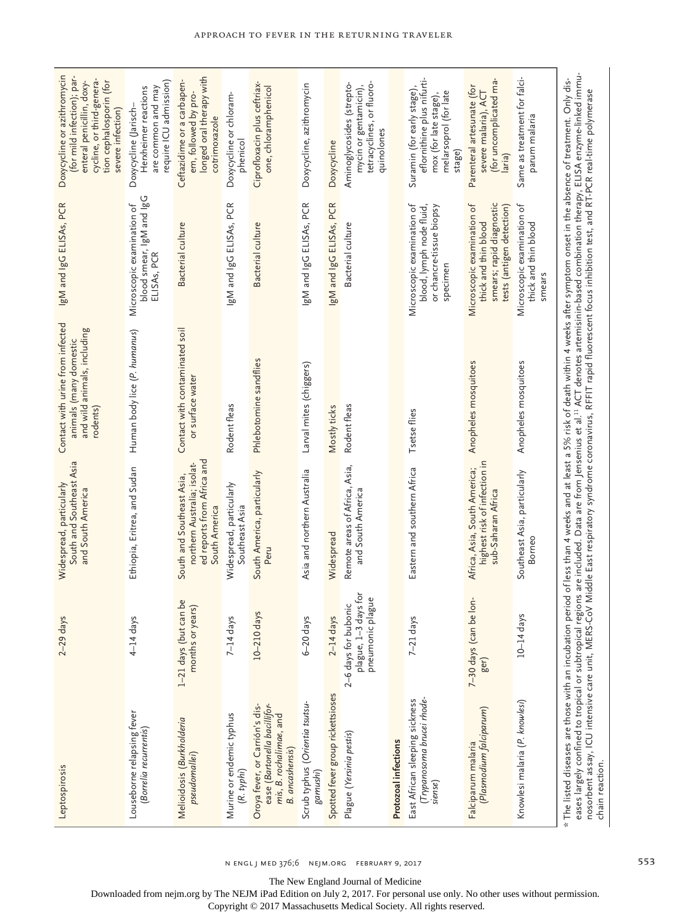| Doxycycline or azithromycin<br>(for mild infection); par-<br>cycline, or third-genera-<br>enteral penicillin, doxy-<br>tion cephalosporin (for<br>severe infection) | require ICU admission)<br>Herxheimer reactions<br>are common and may<br>Doxycycline (Jarisch- | longed oral therapy with<br>Ceftazidime or a carbapen-<br>em, followed by pro-<br>cotrimoxazole         | Doxycycline or chloram-<br>phenico         | Ciprofloxacin plus ceftriax<br>one, chloramphenicol                                                          | Doxycycline, azithromycin                  | Doxycycline                       | tetracyclines, or fluoro-<br>Aminoglycosides (strepto-<br>mycin or gentamicin),<br>quinolones |                      | eflornithine plus nifurti-<br>Suramin (for early stage)<br>melarsoprol (for late<br>mox (for late stage)<br>stage) | (for uncomplicated ma-<br>Parenteral artesunate (for<br>severe malaria), ACT<br>laria)                      | Same as treatment for falci-<br>parum malaria                | eases largely confined to tropical or subtropical regions are included. Data are from Jensenius et al.11 ACT denotes artemisinin-based combination therapy, ELISA enzyme-linked immu-<br>* The listed diseases are those with an incubation period of less than 4 weeks and at least a 5% risk of death within 4 weeks after symptom onset in the absence of treatment. Only dis-<br>CoV Middle East respiratory syndrome coronavirus, RFFIT rapid fluorescent focus inhibition test, and RT-PCR real-time polymerase |
|---------------------------------------------------------------------------------------------------------------------------------------------------------------------|-----------------------------------------------------------------------------------------------|---------------------------------------------------------------------------------------------------------|--------------------------------------------|--------------------------------------------------------------------------------------------------------------|--------------------------------------------|-----------------------------------|-----------------------------------------------------------------------------------------------|----------------------|--------------------------------------------------------------------------------------------------------------------|-------------------------------------------------------------------------------------------------------------|--------------------------------------------------------------|-----------------------------------------------------------------------------------------------------------------------------------------------------------------------------------------------------------------------------------------------------------------------------------------------------------------------------------------------------------------------------------------------------------------------------------------------------------------------------------------------------------------------|
| IgM and IgG ELISAS, PCR                                                                                                                                             | blood smear, IgM and IgG<br>Microscopic examination of<br>ELISAS, PCR                         | Bacterial culture                                                                                       | IgM and IgG ELISAs, PCR                    | Bacterial culture                                                                                            | IgM and IgG ELISAs, PCR                    | IgM and IgG ELISAs, PCR           | Bacterial culture                                                                             |                      | Microscopic examination of<br>or chancre-tissue biopsy<br>blood, lymph node fluid,<br>specimen                     | smears; rapid diagnostic<br>Microscopic examination of<br>tests (antigen detection)<br>thick and thin blood | Microscopic examination of<br>thick and thin blood<br>smears |                                                                                                                                                                                                                                                                                                                                                                                                                                                                                                                       |
| Contact with urine from infected<br>and wild animals, including<br>animals (many domestic<br>rodents)                                                               | Human body lice (P. humanus)                                                                  | Contact with contaminated soil<br>or surface water                                                      | Rodent fleas                               | Phlebotomine sandflies                                                                                       | Larval mites (chiggers)                    | Mostly ticks                      | Rodent fleas                                                                                  |                      | Tsetse flies                                                                                                       | Anopheles mosquitoes                                                                                        | Anopheles mosquitoes                                         |                                                                                                                                                                                                                                                                                                                                                                                                                                                                                                                       |
| South and Southeast Asia<br>Widespread, particularly<br>and South America                                                                                           | Ethiopia, Eritrea, and Sudan                                                                  | ed reports from Africa and<br>northern Australia; isolat-<br>South and Southeast Asia,<br>South America | Widespread, particularly<br>Southeast Asia | South America, particularly<br>Peru                                                                          | Asia and northern Australia                | Widespread                        | Remote areas of Africa, Asia,<br>and South America                                            |                      | Eastern and southern Africa                                                                                        | highest risk of infection in<br>Africa, Asia, South America;<br>sub-Saharan Africa                          | Southeast Asia, particularly<br>Borneo                       |                                                                                                                                                                                                                                                                                                                                                                                                                                                                                                                       |
| $2-29$ days                                                                                                                                                         | $4 - 14$ days                                                                                 | 1-21 days (but can be<br>months or years)                                                               | $7 - 14$ days                              | $10 - 210$ days                                                                                              | $6 - 20$ days                              | $2-14$ days                       | plague, 1-3 days for<br>pneumonic plague<br>2-6 days for bubonic                              |                      | $7-21$ days                                                                                                        | 7-30 days (can be lon-<br>ger)                                                                              | $10 - 14$ days                                               |                                                                                                                                                                                                                                                                                                                                                                                                                                                                                                                       |
| Leptospirosis                                                                                                                                                       | Louseborne relapsing fever<br>(Borrelia recurrentis)                                          | Melioidosis (Burkholderia<br>pseudomallei)                                                              | Murine or endemic typhus<br>(R. typhi)     | ease (Bartonella bacillifor-<br>Oroya fever, or Carrión's dis-<br>mis, B. rochalimae, and<br>B. ancashensis) | Scrub typhus (Orientia tsutsu-<br>gamushi) | Spotted fever group rickettsioses | Plague (Yersinia pestis)                                                                      | Protozoal infections | (Trypanosoma brucei rhode-<br>East African sleeping sickness<br>siense)                                            | (Plasmodium falciparum)<br>Falciparum malaria                                                               | Knowlesi malaria (P. knowlesi)                               | nosorbent assay, ICU intensive care unit, MERS-C<br>chain reaction.                                                                                                                                                                                                                                                                                                                                                                                                                                                   |

n engl j med 376;6 nejm.org February 9, 2017 553

The New England Journal of Medicine

Downloaded from nejm.org by The NEJM iPad Edition on July 2, 2017. For personal use only. No other uses without permission.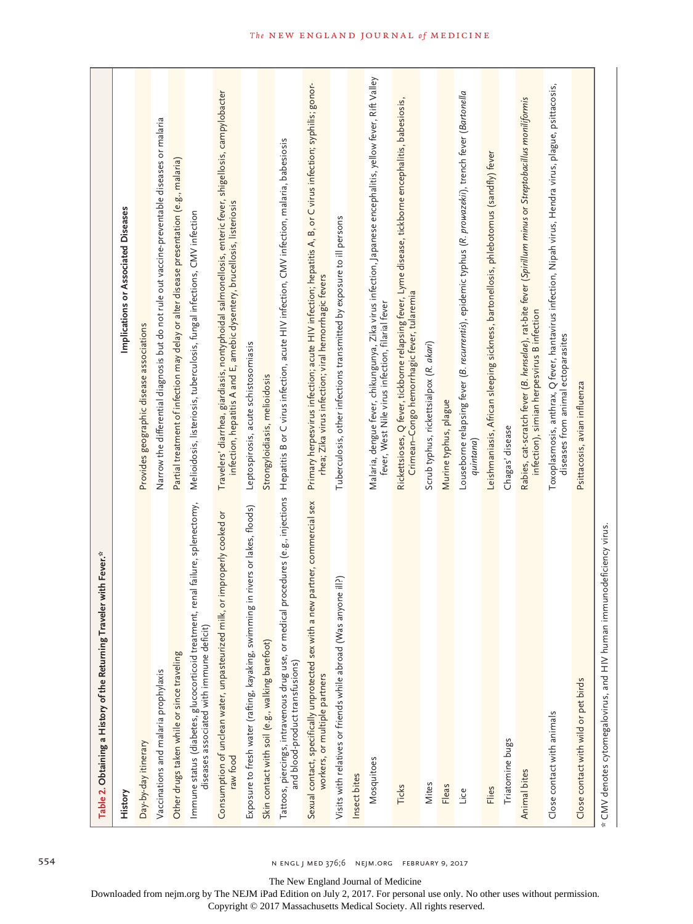| Table 2. Obtaining a History of the Returning Traveler with Fever.*                                                           |                                                                                                                                                                                    |
|-------------------------------------------------------------------------------------------------------------------------------|------------------------------------------------------------------------------------------------------------------------------------------------------------------------------------|
| History                                                                                                                       | Implications or Associated Diseases                                                                                                                                                |
| Day-by-day itinerary                                                                                                          | Provides geographic disease associations                                                                                                                                           |
| Vaccinations and malaria prophylaxis                                                                                          | Narrow the differential diagnosis but do not rule out vaccine-preventable diseases or malaria                                                                                      |
| Other drugs taken while or since traveling                                                                                    | Partial treatment of infection may delay or alter disease presentation (e.g., malaria)                                                                                             |
| renal failure, splenectomy,<br>Immune status (diabetes, glucocorticoid treatment,<br>diseases associated with immune deficit) | Melioidosis, listeriosis, tuberculosis, fungal infections, CMV infection                                                                                                           |
| or improperly cooked or<br>Consumption of unclean water, unpasteurized milk,<br>raw food                                      | Travelers' diarrhea, giardiasis, nontyphoidal salmonellosis, enteric fever, shigellosis, campylobacter<br>infection, hepatitis A and E, amebic dysentery, brucellosis, listeriosis |
| Exposure to fresh water (rafting, kayaking, swimming in rivers or lakes, floods)                                              | Leptospirosis, acute schistosomiasis                                                                                                                                               |
| Skin contact with soil (e.g., walking barefoot)                                                                               | Strongyloidiasis, melioidosis                                                                                                                                                      |
| procedures (e.g., injections<br>Tattoos, piercings, intravenous drug use, or medical<br>and blood-product transfusions)       | Hepatitis B or C virus infection, acute HIV infection, CMV infection, malaria, babesiosis                                                                                          |
| Sexual contact, specifically unprotected sex with a new partner, commercial sex<br>workers, or multiple partners              | Primary herpesvirus infection; acute HIV infection; hepatitis A, B, or C virus infection; syphilis; gonor-<br>rhea; Zika virus infection; viral hemorrhagic fevers                 |
| Visits with relatives or friends while abroad (Was anyone ill?)                                                               | Tuberculosis, other infections transmitted by exposure to ill persons                                                                                                              |
| Insect bites                                                                                                                  |                                                                                                                                                                                    |
| Mosquitoes                                                                                                                    | Malaria, dengue fever, chikungunya, Zika virus infection, Japanese encephalitis, yellow fever, Rift Valley<br>fever, West Nile virus infection, filarial fever                     |
| Ticks                                                                                                                         | Rickettsioses, Q fever, tickborne relapsing fever, Lyme disease, tickborne encephalitis, babesiosis,<br>Crimean-Congo hemorrhagic fever, tularemia                                 |
| Mites                                                                                                                         | Scrub typhus, rickettsialpox (R. akari)                                                                                                                                            |
| Fleas                                                                                                                         | Murine typhus, plague                                                                                                                                                              |
| Lice                                                                                                                          | Louseborne relapsing fever (B. recurrentis), epidemic typhus (R. prowazekii), trench fever (Bartonella<br>quintana)                                                                |
| Flies                                                                                                                         | Leishmaniasis, African sleeping sickness, bartonellosis, phlebotomus (sandfly) fever                                                                                               |
| Triatomine bugs                                                                                                               | Chagas' disease                                                                                                                                                                    |
| Animal bites                                                                                                                  | Rabies, cat-scratch fever (B. henselae), rat-bite fever (Spirillum minus or Streptobacillus moniliformis<br>infection), simian herpesvirus B infection                             |
| Close contact with animals                                                                                                    | Toxoplasmosis, anthrax, Q fever, hantavirus infection, Nipah virus, Hendra virus, plague, psittacosis,<br>diseases from animal ectoparasites                                       |
| Close contact with wild or pet birds                                                                                          | Psittacosis, avian influenza                                                                                                                                                       |
| * CMV denotes cytomegalovirus, and HIV human immunodeficiency virus.                                                          |                                                                                                                                                                                    |

554 n engl j med 376;6 nejm.org February 9, 2017

The New England Journal of Medicine

Downloaded from nejm.org by The NEJM iPad Edition on July 2, 2017. For personal use only. No other uses without permission.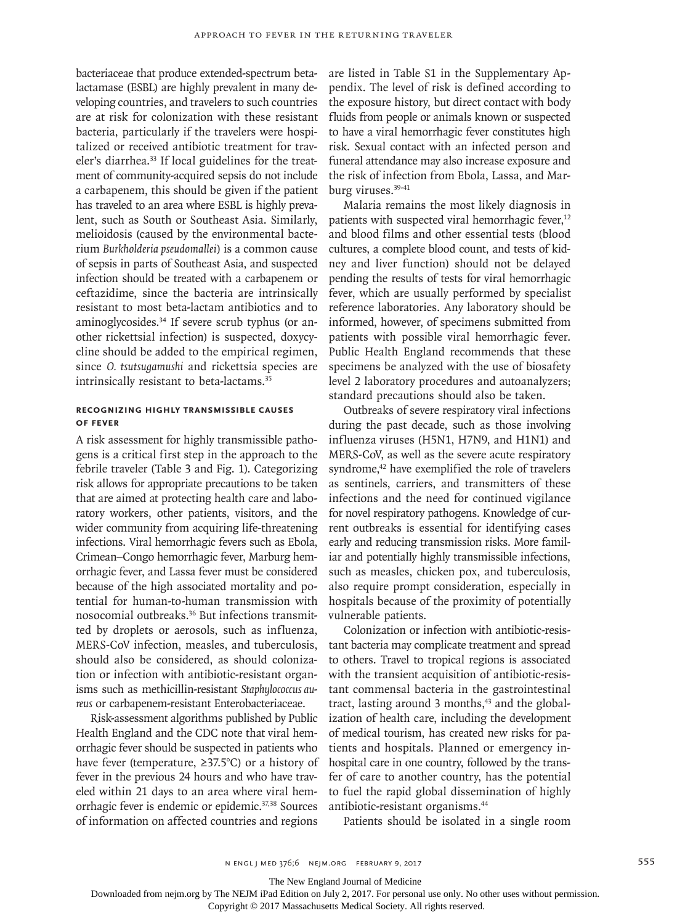bacteriaceae that produce extended-spectrum betalactamase (ESBL) are highly prevalent in many developing countries, and travelers to such countries are at risk for colonization with these resistant bacteria, particularly if the travelers were hospitalized or received antibiotic treatment for traveler's diarrhea.<sup>33</sup> If local guidelines for the treatment of community-acquired sepsis do not include a carbapenem, this should be given if the patient has traveled to an area where ESBL is highly prevalent, such as South or Southeast Asia. Similarly, melioidosis (caused by the environmental bacterium *Burkholderia pseudomallei*) is a common cause of sepsis in parts of Southeast Asia, and suspected infection should be treated with a carbapenem or ceftazidime, since the bacteria are intrinsically resistant to most beta-lactam antibiotics and to aminoglycosides.34 If severe scrub typhus (or another rickettsial infection) is suspected, doxycycline should be added to the empirical regimen, since *O. tsutsugamushi* and rickettsia species are intrinsically resistant to beta-lactams.<sup>35</sup>

# **Recognizing Highly Transmissible Causes of Fever**

A risk assessment for highly transmissible pathogens is a critical first step in the approach to the febrile traveler (Table 3 and Fig. 1). Categorizing risk allows for appropriate precautions to be taken that are aimed at protecting health care and laboratory workers, other patients, visitors, and the wider community from acquiring life-threatening infections. Viral hemorrhagic fevers such as Ebola, Crimean–Congo hemorrhagic fever, Marburg hemorrhagic fever, and Lassa fever must be considered because of the high associated mortality and potential for human-to-human transmission with nosocomial outbreaks.36 But infections transmitted by droplets or aerosols, such as influenza, MERS-CoV infection, measles, and tuberculosis, should also be considered, as should colonization or infection with antibiotic-resistant organisms such as methicillin-resistant *Staphylococcus aureus* or carbapenem-resistant Enterobacteriaceae.

Risk-assessment algorithms published by Public Health England and the CDC note that viral hemorrhagic fever should be suspected in patients who have fever (temperature, ≥37.5°C) or a history of fever in the previous 24 hours and who have traveled within 21 days to an area where viral hemorrhagic fever is endemic or epidemic.<sup>37,38</sup> Sources of information on affected countries and regions

are listed in Table S1 in the Supplementary Appendix. The level of risk is defined according to the exposure history, but direct contact with body fluids from people or animals known or suspected to have a viral hemorrhagic fever constitutes high risk. Sexual contact with an infected person and funeral attendance may also increase exposure and the risk of infection from Ebola, Lassa, and Marburg viruses.39-41

Malaria remains the most likely diagnosis in patients with suspected viral hemorrhagic fever,<sup>12</sup> and blood films and other essential tests (blood cultures, a complete blood count, and tests of kidney and liver function) should not be delayed pending the results of tests for viral hemorrhagic fever, which are usually performed by specialist reference laboratories. Any laboratory should be informed, however, of specimens submitted from patients with possible viral hemorrhagic fever. Public Health England recommends that these specimens be analyzed with the use of biosafety level 2 laboratory procedures and autoanalyzers; standard precautions should also be taken.

Outbreaks of severe respiratory viral infections during the past decade, such as those involving influenza viruses (H5N1, H7N9, and H1N1) and MERS-CoV, as well as the severe acute respiratory syndrome,<sup>42</sup> have exemplified the role of travelers as sentinels, carriers, and transmitters of these infections and the need for continued vigilance for novel respiratory pathogens. Knowledge of current outbreaks is essential for identifying cases early and reducing transmission risks. More familiar and potentially highly transmissible infections, such as measles, chicken pox, and tuberculosis, also require prompt consideration, especially in hospitals because of the proximity of potentially vulnerable patients.

Colonization or infection with antibiotic-resistant bacteria may complicate treatment and spread to others. Travel to tropical regions is associated with the transient acquisition of antibiotic-resistant commensal bacteria in the gastrointestinal tract, lasting around 3 months, $43$  and the globalization of health care, including the development of medical tourism, has created new risks for patients and hospitals. Planned or emergency inhospital care in one country, followed by the transfer of care to another country, has the potential to fuel the rapid global dissemination of highly antibiotic-resistant organisms.44

Patients should be isolated in a single room

The New England Journal of Medicine

Downloaded from nejm.org by The NEJM iPad Edition on July 2, 2017. For personal use only. No other uses without permission.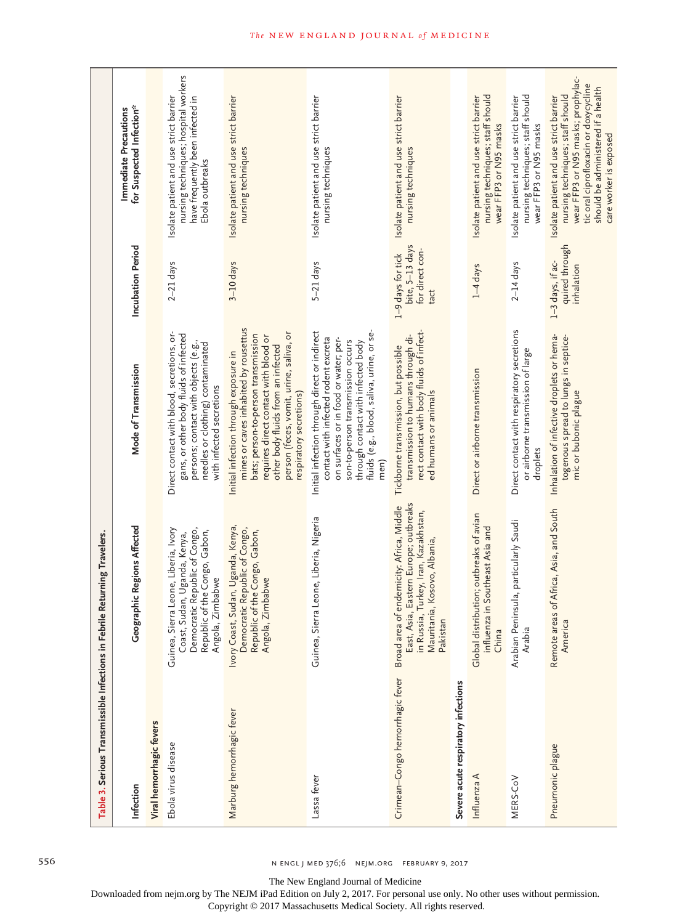| Table 3. Serious Transmissible Infections in Febrile Returning Travelers. |                                                                                                                                                                       |                                                                                                                                                                                                                                                                            |                                                                 |                                                                                                                                                                                                                           |
|---------------------------------------------------------------------------|-----------------------------------------------------------------------------------------------------------------------------------------------------------------------|----------------------------------------------------------------------------------------------------------------------------------------------------------------------------------------------------------------------------------------------------------------------------|-----------------------------------------------------------------|---------------------------------------------------------------------------------------------------------------------------------------------------------------------------------------------------------------------------|
| Infection                                                                 | Geographic Regions Affected                                                                                                                                           | Mode of Transmission                                                                                                                                                                                                                                                       | <b>Incubation Period</b>                                        | for Suspected Infection*<br>Immediate Precautions                                                                                                                                                                         |
| Viral hemorrhagic fevers                                                  |                                                                                                                                                                       |                                                                                                                                                                                                                                                                            |                                                                 |                                                                                                                                                                                                                           |
| Ebola virus disease                                                       | Democratic Republic of Congo,<br>Guinea, Sierra Leone, Liberia, Ivory<br>Republic of the Congo, Gabon,<br>Coast, Sudan, Uganda, Kenya,<br>Angola, Zimbabwe            | Direct contact with blood, secretions, or-<br>gans, or other body fluids of infected<br>persons; contact with objects (e.g.,<br>needles or clothing) contaminated<br>with infected secretions                                                                              | $2-21$ days                                                     | nursing techniques; hospital workers<br>Isolate patient and use strict barrier<br>have frequently been infected in<br>Ebola outbreaks                                                                                     |
| Marburg hemorrhagic fever                                                 | Ivory Coast, Sudan, Uganda, Kenya,<br>Democratic Republic of Congo,<br>Republic of the Congo, Gabon,<br>Angola, Zimbabwe                                              | mines or caves inhabited by rousettus<br>person (feces, vomit, urine, saliva, or<br>bats; person-to-person transmission<br>requires direct contact with blood or<br>other body fluids from an infected<br>Initial infection through exposure in<br>respiratory secretions) | $3-10$ days                                                     | Isolate patient and use strict barrier<br>nursing techniques                                                                                                                                                              |
| Lassa fever                                                               | Guinea, Sierra Leone, Liberia, Nigeria                                                                                                                                | fluids (e.g., blood, saliva, urine, or se-<br>Initial infection through direct or indirect<br>on surfaces or in food or water; per-<br>contact with infected rodent excreta<br>son-to-person transmission occurs<br>through contact with infected body<br>men)             | $5-21$ days                                                     | Isolate patient and use strict barrier<br>nursing techniques                                                                                                                                                              |
| Crimean-Congo hemorrhagic fever                                           | East, Asia, Eastern Europe; outbreaks<br>Broad area of endemicity: Africa, Middle<br>in Russia, Turkey, Iran, Kazakhstan,<br>Mauritania, Kosovo, Albania,<br>Pakistan | rect contact with body fluids of infect-<br>transmission to humans through di-<br>Tickborne transmission, but possible<br>ed humans or animals                                                                                                                             | bite, 5-13 days<br>for direct con-<br>1-9 days for tick<br>tact | Isolate patient and use strict barrier<br>nursing techniques                                                                                                                                                              |
| Severe acute respiratory infections                                       |                                                                                                                                                                       |                                                                                                                                                                                                                                                                            |                                                                 |                                                                                                                                                                                                                           |
| Influenza A                                                               | Global distribution; outbreaks of avian<br>in Southeast Asia and<br>influenza<br>China                                                                                | Direct or airborne transmission                                                                                                                                                                                                                                            | $1 - 4$ days                                                    | nursing techniques; staff should<br>Isolate patient and use strict barrier<br>wear FFP3 or N95 masks                                                                                                                      |
| MERS-CoV                                                                  | Arabian Peninsula, particularly Saudi<br>Arabia                                                                                                                       | Direct contact with respiratory secretions<br>or airborne transmission of large<br>droplets                                                                                                                                                                                | $2 - 14$ days                                                   | nursing techniques; staff should<br>wear FFP3 or N95 masks<br>Isolate patient and use strict barrier                                                                                                                      |
| Pneumonic plague                                                          | Remote areas of Africa, Asia, and South<br>America                                                                                                                    | Inhalation of infective droplets or hema-<br>togenous spread to lungs in septice-<br>mic or bubonic plague                                                                                                                                                                 | quired through<br>1-3 days, if ac-<br>inhalation                | wear FFP3 or N95 masks; prophylac-<br>tic oral ciprofloxacin or doxycycline<br>should be administered if a health<br>nursing techniques; staff should<br>Isolate patient and use strict barrier<br>care worker is exposed |

556 NEMICL J MED 376;6 NEJM.ORG FEBRUARY 9, 2017

The New England Journal of Medicine

Downloaded from nejm.org by The NEJM iPad Edition on July 2, 2017. For personal use only. No other uses without permission.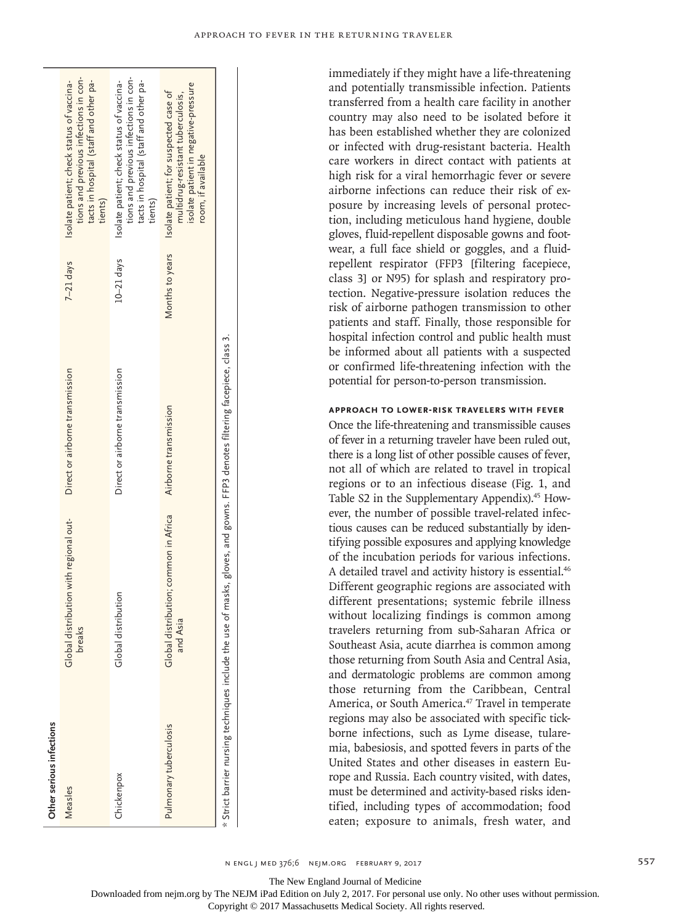|  | APPROACH TO FEVER IN THE RETURNING TRAVELER |  |  |  |  |
|--|---------------------------------------------|--|--|--|--|
|--|---------------------------------------------|--|--|--|--|

| Other serious infections |                                                                                                                             |                                 |                 |                                                                                                                                           |
|--------------------------|-----------------------------------------------------------------------------------------------------------------------------|---------------------------------|-----------------|-------------------------------------------------------------------------------------------------------------------------------------------|
| Measles                  | Global distribution with regional out-<br>breaks                                                                            | Direct or airborne transmission | $7-21$ days     | tions and previous infections in con-<br>tacts in hospital (staff and other pa-<br>Isolate patient; check status of vaccina-<br>tients)   |
| Chickenpox               | Global distribution                                                                                                         | Direct or airborne transmission | $10-21$ days    | tions and previous infections in con-<br>tacts in hospital (staff and other pa-<br>Isolate patient; check status of vaccina-<br>tients)   |
| Pulmonary tuberculosis   | Global distribution; common in Africa<br>and Asia                                                                           | Airborne transmission           | Months to years | isolate patient in negative-pressure<br>Isolate patient; for suspected case of<br>multidrug-resistant tuberculosis,<br>room, if available |
|                          | * Strict barrier nursing techniques include the use of masks, gloves, and gowns. FFP3 denotes filtering facepiece, class 3. |                                 |                 |                                                                                                                                           |

immediately if they might have a life-threatening and potentially transmissible infection. Patients transferred from a health care facility in another country may also need to be isolated before it has been established whether they are colonized or infected with drug-resistant bacteria. Health care workers in direct contact with patients at high risk for a viral hemorrhagic fever or severe airborne infections can reduce their risk of exposure by increasing levels of personal protection, including meticulous hand hygiene, double gloves, fluid-repellent disposable gowns and footwear, a full face shield or goggles, and a fluidrepellent respirator (FFP3 [filtering facepiece, class 3] or N95) for splash and respiratory protection. Negative-pressure isolation reduces the risk of airborne pathogen transmission to other patients and staff. Finally, those responsible for hospital infection control and public health must be informed about all patients with a suspected or confirmed life-threatening infection with the potential for person-to-person transmission.

**Approach to Lower-Risk Travelers with Fever**

Once the life-threatening and transmissible causes of fever in a returning traveler have been ruled out, there is a long list of other possible causes of fever, not all of which are related to travel in tropical regions or to an infectious disease (Fig. 1, and Table S2 in the Supplementary Appendix).<sup>45</sup> However, the number of possible travel-related infectious causes can be reduced substantially by identifying possible exposures and applying knowledge of the incubation periods for various infections. A detailed travel and activity history is essential.<sup>46</sup> Different geographic regions are associated with different presentations; systemic febrile illness without localizing findings is common among travelers returning from sub-Saharan Africa or Southeast Asia, acute diarrhea is common among those returning from South Asia and Central Asia, and dermatologic problems are common among those returning from the Caribbean, Central America, or South America.47 Travel in temperate regions may also be associated with specific tickborne infections, such as Lyme disease, tularemia, babesiosis, and spotted fevers in parts of the United States and other diseases in eastern Europe and Russia. Each country visited, with dates, must be determined and activity-based risks identified, including types of accommodation; food eaten; exposure to animals, fresh water, and

n engl j med 376;6 nejm.org February 9, 2017 557

The New England Journal of Medicine

Downloaded from nejm.org by The NEJM iPad Edition on July 2, 2017. For personal use only. No other uses without permission.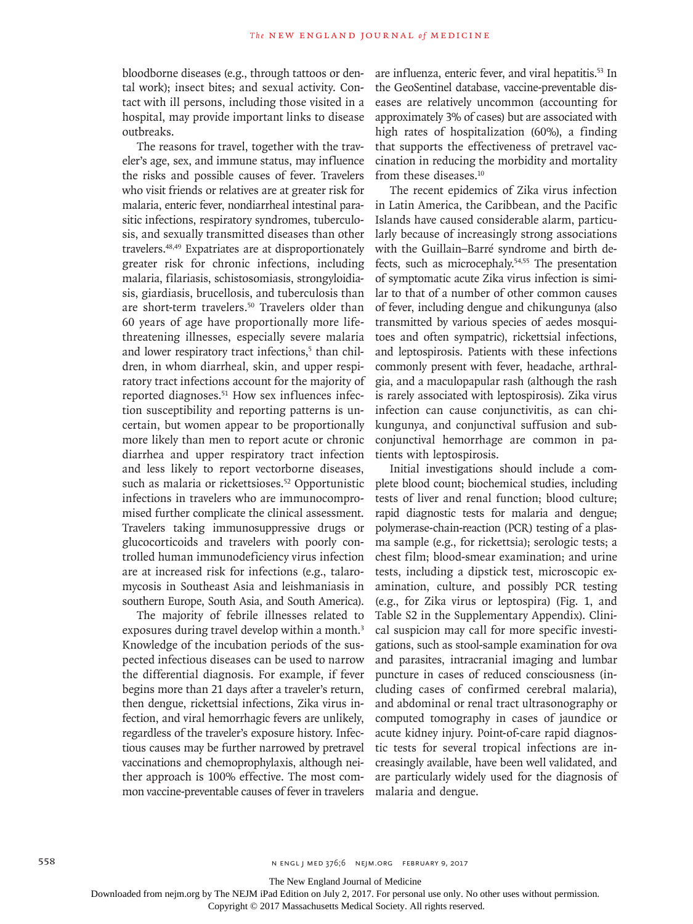bloodborne diseases (e.g., through tattoos or dental work); insect bites; and sexual activity. Contact with ill persons, including those visited in a hospital, may provide important links to disease outbreaks.

The reasons for travel, together with the traveler's age, sex, and immune status, may influence the risks and possible causes of fever. Travelers who visit friends or relatives are at greater risk for malaria, enteric fever, nondiarrheal intestinal parasitic infections, respiratory syndromes, tuberculosis, and sexually transmitted diseases than other travelers.48,49 Expatriates are at disproportionately greater risk for chronic infections, including malaria, filariasis, schistosomiasis, strongyloidiasis, giardiasis, brucellosis, and tuberculosis than are short-term travelers.<sup>50</sup> Travelers older than 60 years of age have proportionally more lifethreatening illnesses, especially severe malaria and lower respiratory tract infections,<sup>5</sup> than children, in whom diarrheal, skin, and upper respiratory tract infections account for the majority of reported diagnoses.<sup>51</sup> How sex influences infection susceptibility and reporting patterns is uncertain, but women appear to be proportionally more likely than men to report acute or chronic diarrhea and upper respiratory tract infection and less likely to report vectorborne diseases, such as malaria or rickettsioses.<sup>52</sup> Opportunistic infections in travelers who are immunocompromised further complicate the clinical assessment. Travelers taking immunosuppressive drugs or glucocorticoids and travelers with poorly controlled human immunodeficiency virus infection are at increased risk for infections (e.g., talaromycosis in Southeast Asia and leishmaniasis in southern Europe, South Asia, and South America).

The majority of febrile illnesses related to exposures during travel develop within a month.<sup>3</sup> Knowledge of the incubation periods of the suspected infectious diseases can be used to narrow the differential diagnosis. For example, if fever begins more than 21 days after a traveler's return, then dengue, rickettsial infections, Zika virus infection, and viral hemorrhagic fevers are unlikely, regardless of the traveler's exposure history. Infectious causes may be further narrowed by pretravel vaccinations and chemoprophylaxis, although neither approach is 100% effective. The most common vaccine-preventable causes of fever in travelers

are influenza, enteric fever, and viral hepatitis.53 In the GeoSentinel database, vaccine-preventable diseases are relatively uncommon (accounting for approximately 3% of cases) but are associated with high rates of hospitalization (60%), a finding that supports the effectiveness of pretravel vaccination in reducing the morbidity and mortality from these diseases.<sup>10</sup>

The recent epidemics of Zika virus infection in Latin America, the Caribbean, and the Pacific Islands have caused considerable alarm, particularly because of increasingly strong associations with the Guillain–Barré syndrome and birth defects, such as microcephaly.54,55 The presentation of symptomatic acute Zika virus infection is similar to that of a number of other common causes of fever, including dengue and chikungunya (also transmitted by various species of aedes mosquitoes and often sympatric), rickettsial infections, and leptospirosis. Patients with these infections commonly present with fever, headache, arthralgia, and a maculopapular rash (although the rash is rarely associated with leptospirosis). Zika virus infection can cause conjunctivitis, as can chikungunya, and conjunctival suffusion and subconjunctival hemorrhage are common in patients with leptospirosis.

Initial investigations should include a complete blood count; biochemical studies, including tests of liver and renal function; blood culture; rapid diagnostic tests for malaria and dengue; polymerase-chain-reaction (PCR) testing of a plasma sample (e.g., for rickettsia); serologic tests; a chest film; blood-smear examination; and urine tests, including a dipstick test, microscopic examination, culture, and possibly PCR testing (e.g., for Zika virus or leptospira) (Fig. 1, and Table S2 in the Supplementary Appendix). Clinical suspicion may call for more specific investigations, such as stool-sample examination for ova and parasites, intracranial imaging and lumbar puncture in cases of reduced consciousness (including cases of confirmed cerebral malaria), and abdominal or renal tract ultrasonography or computed tomography in cases of jaundice or acute kidney injury. Point-of-care rapid diagnostic tests for several tropical infections are increasingly available, have been well validated, and are particularly widely used for the diagnosis of malaria and dengue.

558 **N ENGL J MED 376;6 NEIM.ORG FEBRUARY 9, 2017** 

The New England Journal of Medicine

Downloaded from nejm.org by The NEJM iPad Edition on July 2, 2017. For personal use only. No other uses without permission.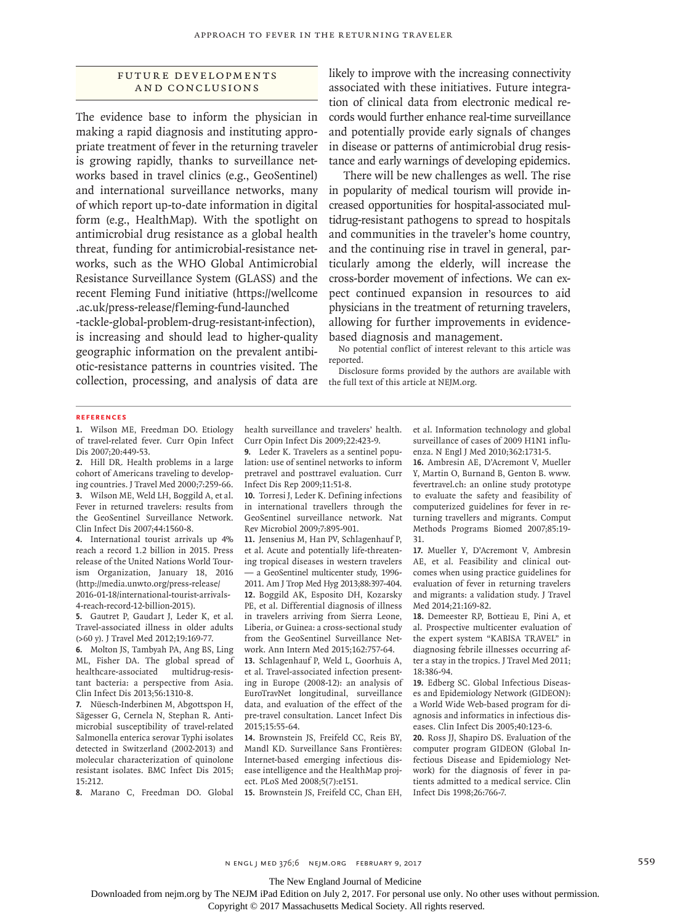## FUTURE DEVELOPMENTS and Conclusions

The evidence base to inform the physician in making a rapid diagnosis and instituting appropriate treatment of fever in the returning traveler is growing rapidly, thanks to surveillance networks based in travel clinics (e.g., GeoSentinel) and international surveillance networks, many of which report up-to-date information in digital form (e.g., HealthMap). With the spotlight on antimicrobial drug resistance as a global health threat, funding for antimicrobial-resistance networks, such as the WHO Global Antimicrobial Resistance Surveillance System (GLASS) and the recent Fleming Fund initiative (https://wellcome .ac.uk/press-release/fleming-fund-launched

-tackle-global-problem-drug-resistant-infection), is increasing and should lead to higher-quality geographic information on the prevalent antibiotic-resistance patterns in countries visited. The collection, processing, and analysis of data are likely to improve with the increasing connectivity associated with these initiatives. Future integration of clinical data from electronic medical records would further enhance real-time surveillance and potentially provide early signals of changes in disease or patterns of antimicrobial drug resistance and early warnings of developing epidemics.

There will be new challenges as well. The rise in popularity of medical tourism will provide increased opportunities for hospital-associated multidrug-resistant pathogens to spread to hospitals and communities in the traveler's home country, and the continuing rise in travel in general, particularly among the elderly, will increase the cross-border movement of infections. We can expect continued expansion in resources to aid physicians in the treatment of returning travelers, allowing for further improvements in evidencebased diagnosis and management.

No potential conflict of interest relevant to this article was reported.

Disclosure forms provided by the authors are available with the full text of this article at NEJM.org.

#### **References**

**1.** Wilson ME, Freedman DO. Etiology of travel-related fever. Curr Opin Infect Dis 2007;20:449-53.

**2.** Hill DR. Health problems in a large cohort of Americans traveling to developing countries. J Travel Med 2000;7:259-66. **3.** Wilson ME, Weld LH, Boggild A, et al. Fever in returned travelers: results from the GeoSentinel Surveillance Network. Clin Infect Dis 2007;44:1560-8.

**4.** International tourist arrivals up 4% reach a record 1.2 billion in 2015. Press release of the United Nations World Tourism Organization, January 18, 2016 (http://media.unwto.org/press-release/ 2016-01-18/international-tourist-arrivals-4-reach-record-12-billion-2015).

**5.** Gautret P, Gaudart J, Leder K, et al. Travel-associated illness in older adults (>60 y). J Travel Med 2012;19:169-77.

**6.** Molton JS, Tambyah PA, Ang BS, Ling ML, Fisher DA. The global spread of healthcare-associated multidrug-resistant bacteria: a perspective from Asia. Clin Infect Dis 2013;56:1310-8.

**7.** Nüesch-Inderbinen M, Abgottspon H, Sägesser G, Cernela N, Stephan R. Antimicrobial susceptibility of travel-related Salmonella enterica serovar Typhi isolates detected in Switzerland (2002-2013) and molecular characterization of quinolone resistant isolates. BMC Infect Dis 2015; 15:212.

**8.** Marano C, Freedman DO. Global

health surveillance and travelers' health. Curr Opin Infect Dis 2009;22:423-9.

**9.** Leder K. Travelers as a sentinel population: use of sentinel networks to inform pretravel and posttravel evaluation. Curr Infect Dis Rep 2009;11:51-8.

**10.** Torresi J, Leder K. Defining infections in international travellers through the GeoSentinel surveillance network. Nat Rev Microbiol 2009;7:895-901.

**11.** Jensenius M, Han PV, Schlagenhauf P, et al. Acute and potentially life-threatening tropical diseases in western travelers — a GeoSentinel multicenter study, 1996- 2011. Am J Trop Med Hyg 2013;88:397-404. **12.** Boggild AK, Esposito DH, Kozarsky PE, et al. Differential diagnosis of illness in travelers arriving from Sierra Leone, Liberia, or Guinea: a cross-sectional study from the GeoSentinel Surveillance Network. Ann Intern Med 2015;162:757-64.

**13.** Schlagenhauf P, Weld L, Goorhuis A, et al. Travel-associated infection presenting in Europe (2008-12): an analysis of EuroTravNet longitudinal, surveillance data, and evaluation of the effect of the pre-travel consultation. Lancet Infect Dis 2015;15:55-64.

**14.** Brownstein JS, Freifeld CC, Reis BY, Mandl KD. Surveillance Sans Frontières: Internet-based emerging infectious disease intelligence and the HealthMap project. PLoS Med 2008;5(7):e151.

**15.** Brownstein JS, Freifeld CC, Chan EH,

et al. Information technology and global surveillance of cases of 2009 H1N1 influenza. N Engl J Med 2010;362:1731-5.

**16.** Ambresin AE, D'Acremont V, Mueller Y, Martin O, Burnand B, Genton B. www. fevertravel.ch: an online study prototype to evaluate the safety and feasibility of computerized guidelines for fever in returning travellers and migrants. Comput Methods Programs Biomed 2007;85:19- 31.

**17.** Mueller Y, D'Acremont V, Ambresin AE, et al. Feasibility and clinical outcomes when using practice guidelines for evaluation of fever in returning travelers and migrants: a validation study. J Travel Med 2014;21:169-82.

**18.** Demeester RP, Bottieau E, Pini A, et al. Prospective multicenter evaluation of the expert system "KABISA TRAVEL" in diagnosing febrile illnesses occurring after a stay in the tropics. J Travel Med 2011; 18:386-94.

**19.** Edberg SC. Global Infectious Diseases and Epidemiology Network (GIDEON): a World Wide Web-based program for diagnosis and informatics in infectious diseases. Clin Infect Dis 2005;40:123-6.

**20.** Ross JJ, Shapiro DS. Evaluation of the computer program GIDEON (Global Infectious Disease and Epidemiology Network) for the diagnosis of fever in patients admitted to a medical service. Clin Infect Dis 1998;26:766-7.

The New England Journal of Medicine

Downloaded from nejm.org by The NEJM iPad Edition on July 2, 2017. For personal use only. No other uses without permission.